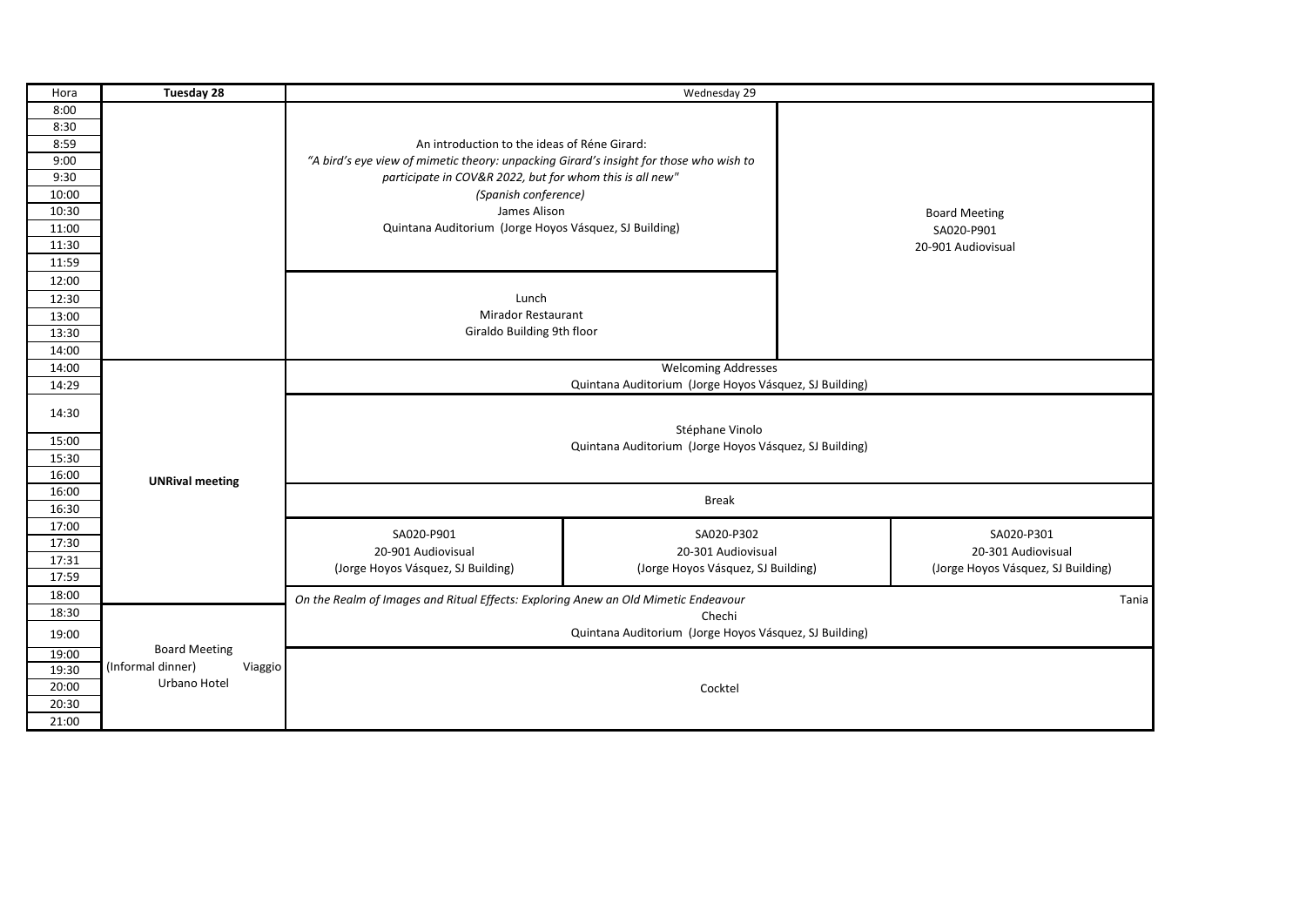| Hora  | Tuesday 28                   | Wednesday 29                                                                                                                           |                                    |            |  |
|-------|------------------------------|----------------------------------------------------------------------------------------------------------------------------------------|------------------------------------|------------|--|
| 8:00  |                              |                                                                                                                                        |                                    |            |  |
| 8:30  |                              |                                                                                                                                        |                                    |            |  |
| 8:59  |                              | An introduction to the ideas of Réne Girard:<br>"A bird's eye view of mimetic theory: unpacking Girard's insight for those who wish to |                                    |            |  |
| 9:00  |                              |                                                                                                                                        |                                    |            |  |
| 9:30  |                              | participate in COV&R 2022, but for whom this is all new"                                                                               |                                    |            |  |
| 10:00 |                              | (Spanish conference)                                                                                                                   |                                    |            |  |
| 10:30 |                              | James Alison                                                                                                                           | <b>Board Meeting</b>               |            |  |
| 11:00 |                              | Quintana Auditorium (Jorge Hoyos Vásquez, SJ Building)                                                                                 |                                    | SA020-P901 |  |
| 11:30 |                              |                                                                                                                                        | 20-901 Audiovisual                 |            |  |
| 11:59 |                              |                                                                                                                                        |                                    |            |  |
| 12:00 |                              |                                                                                                                                        |                                    |            |  |
| 12:30 |                              | Lunch                                                                                                                                  |                                    |            |  |
| 13:00 |                              | <b>Mirador Restaurant</b>                                                                                                              |                                    |            |  |
| 13:30 |                              | Giraldo Building 9th floor                                                                                                             |                                    |            |  |
| 14:00 |                              |                                                                                                                                        |                                    |            |  |
| 14:00 |                              | <b>Welcoming Addresses</b>                                                                                                             |                                    |            |  |
| 14:29 |                              | Quintana Auditorium (Jorge Hoyos Vásquez, SJ Building)                                                                                 |                                    |            |  |
| 14:30 |                              | Stéphane Vinolo                                                                                                                        |                                    |            |  |
| 15:00 |                              | Quintana Auditorium (Jorge Hoyos Vásquez, SJ Building)                                                                                 |                                    |            |  |
| 15:30 |                              |                                                                                                                                        |                                    |            |  |
| 16:00 | <b>UNRival meeting</b>       |                                                                                                                                        |                                    |            |  |
| 16:00 |                              | <b>Break</b>                                                                                                                           |                                    |            |  |
| 16:30 |                              |                                                                                                                                        |                                    |            |  |
| 17:00 |                              | SA020-P901<br>SA020-P302                                                                                                               | SA020-P301                         |            |  |
| 17:30 |                              | 20-901 Audiovisual<br>20-301 Audiovisual                                                                                               | 20-301 Audiovisual                 |            |  |
| 17:31 |                              | (Jorge Hoyos Vásquez, SJ Building)<br>(Jorge Hoyos Vásquez, SJ Building)                                                               | (Jorge Hoyos Vásquez, SJ Building) |            |  |
| 17:59 |                              |                                                                                                                                        |                                    |            |  |
| 18:00 |                              | On the Realm of Images and Ritual Effects: Exploring Anew an Old Mimetic Endeavour                                                     |                                    | Tania      |  |
| 18:30 |                              | Chechi                                                                                                                                 |                                    |            |  |
| 19:00 |                              | Quintana Auditorium (Jorge Hoyos Vásquez, SJ Building)                                                                                 |                                    |            |  |
| 19:00 | <b>Board Meeting</b>         |                                                                                                                                        |                                    |            |  |
| 19:30 | (Informal dinner)<br>Viaggio |                                                                                                                                        |                                    |            |  |
| 20:00 | Urbano Hotel<br>Cocktel      |                                                                                                                                        |                                    |            |  |
| 20:30 |                              |                                                                                                                                        |                                    |            |  |
| 21:00 |                              |                                                                                                                                        |                                    |            |  |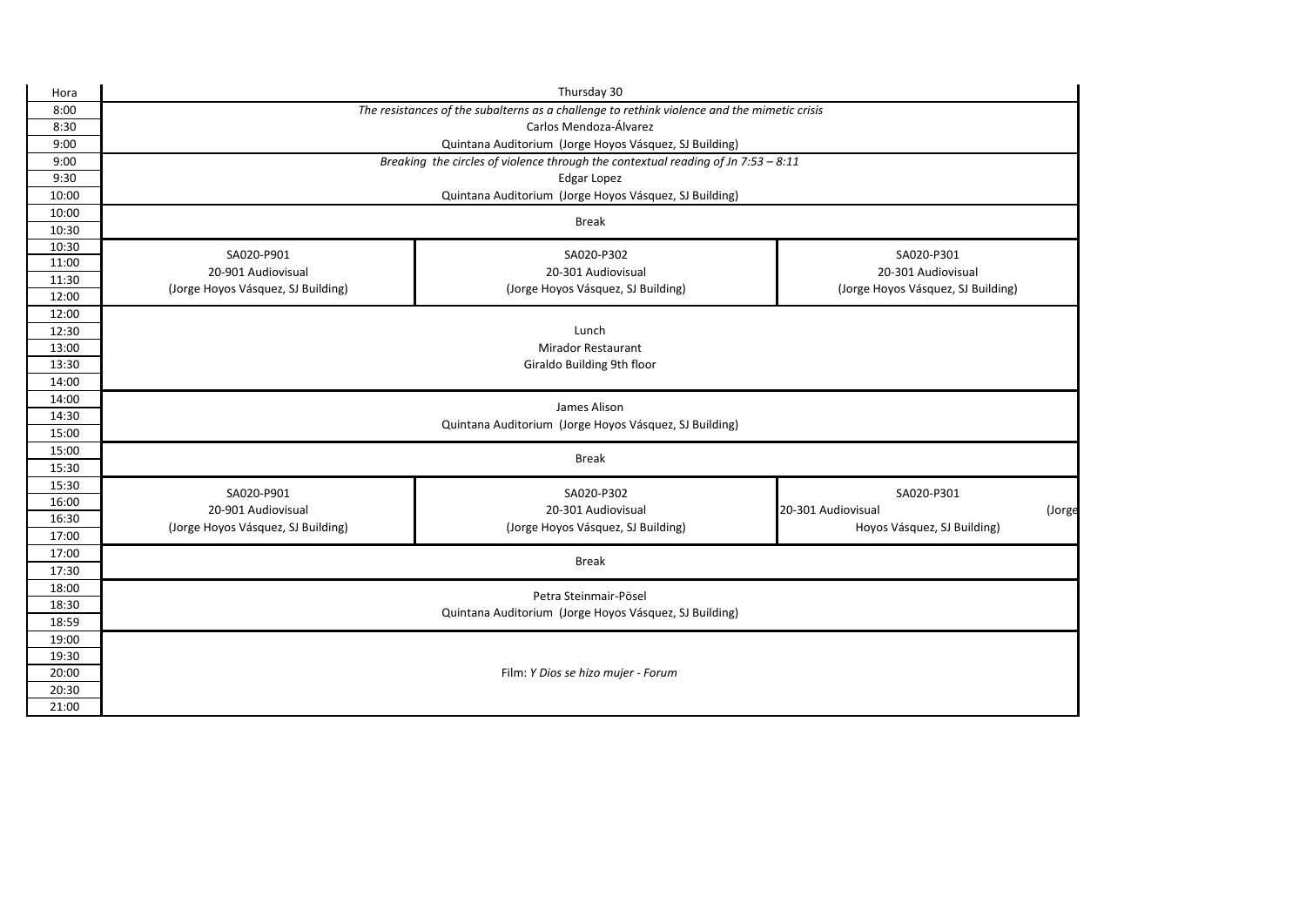| Hora           | Thursday 30                                                                       |                                                                                             |                                                             |  |  |  |  |
|----------------|-----------------------------------------------------------------------------------|---------------------------------------------------------------------------------------------|-------------------------------------------------------------|--|--|--|--|
| 8:00           |                                                                                   | The resistances of the subalterns as a challenge to rethink violence and the mimetic crisis |                                                             |  |  |  |  |
| 8:30           | Carlos Mendoza-Álvarez                                                            |                                                                                             |                                                             |  |  |  |  |
| 9:00           | Quintana Auditorium (Jorge Hoyos Vásquez, SJ Building)                            |                                                                                             |                                                             |  |  |  |  |
| 9:00           | Breaking the circles of violence through the contextual reading of Jn 7:53 - 8:11 |                                                                                             |                                                             |  |  |  |  |
| 9:30           | Edgar Lopez                                                                       |                                                                                             |                                                             |  |  |  |  |
| 10:00          | Quintana Auditorium (Jorge Hoyos Vásquez, SJ Building)                            |                                                                                             |                                                             |  |  |  |  |
| 10:00          | <b>Break</b>                                                                      |                                                                                             |                                                             |  |  |  |  |
| 10:30          |                                                                                   |                                                                                             |                                                             |  |  |  |  |
| 10:30          | SA020-P901                                                                        | SA020-P302                                                                                  | SA020-P301                                                  |  |  |  |  |
| 11:00          | 20-901 Audiovisual                                                                | 20-301 Audiovisual                                                                          | 20-301 Audiovisual                                          |  |  |  |  |
| 11:30          | (Jorge Hoyos Vásquez, SJ Building)                                                | (Jorge Hoyos Vásquez, SJ Building)                                                          | (Jorge Hoyos Vásquez, SJ Building)                          |  |  |  |  |
| 12:00          |                                                                                   |                                                                                             |                                                             |  |  |  |  |
| 12:00          |                                                                                   |                                                                                             |                                                             |  |  |  |  |
| 12:30<br>13:00 | Lunch<br><b>Mirador Restaurant</b>                                                |                                                                                             |                                                             |  |  |  |  |
| 13:30          | Giraldo Building 9th floor                                                        |                                                                                             |                                                             |  |  |  |  |
| 14:00          |                                                                                   |                                                                                             |                                                             |  |  |  |  |
| 14:00          |                                                                                   |                                                                                             |                                                             |  |  |  |  |
| 14:30          | James Alison                                                                      |                                                                                             |                                                             |  |  |  |  |
| 15:00          | Quintana Auditorium (Jorge Hoyos Vásquez, SJ Building)                            |                                                                                             |                                                             |  |  |  |  |
| 15:00          |                                                                                   |                                                                                             |                                                             |  |  |  |  |
| 15:30          |                                                                                   | <b>Break</b>                                                                                |                                                             |  |  |  |  |
| 15:30          |                                                                                   |                                                                                             |                                                             |  |  |  |  |
| 16:00          | SA020-P901<br>20-901 Audiovisual                                                  | SA020-P302<br>20-301 Audiovisual                                                            | SA020-P301                                                  |  |  |  |  |
| 16:30          | (Jorge Hoyos Vásquez, SJ Building)                                                | (Jorge Hoyos Vásquez, SJ Building)                                                          | 20-301 Audiovisual<br>(Jorge<br>Hoyos Vásquez, SJ Building) |  |  |  |  |
| 17:00          |                                                                                   |                                                                                             |                                                             |  |  |  |  |
| 17:00          |                                                                                   | <b>Break</b>                                                                                |                                                             |  |  |  |  |
| 17:30          |                                                                                   |                                                                                             |                                                             |  |  |  |  |
| 18:00          |                                                                                   | Petra Steinmair-Pösel                                                                       |                                                             |  |  |  |  |
| 18:30          |                                                                                   | Quintana Auditorium (Jorge Hoyos Vásquez, SJ Building)                                      |                                                             |  |  |  |  |
| 18:59          |                                                                                   |                                                                                             |                                                             |  |  |  |  |
| 19:00          |                                                                                   |                                                                                             |                                                             |  |  |  |  |
| 19:30          |                                                                                   |                                                                                             |                                                             |  |  |  |  |
| 20:00          |                                                                                   | Film: Y Dios se hizo mujer - Forum                                                          |                                                             |  |  |  |  |
| 20:30          |                                                                                   |                                                                                             |                                                             |  |  |  |  |
| 21:00          |                                                                                   |                                                                                             |                                                             |  |  |  |  |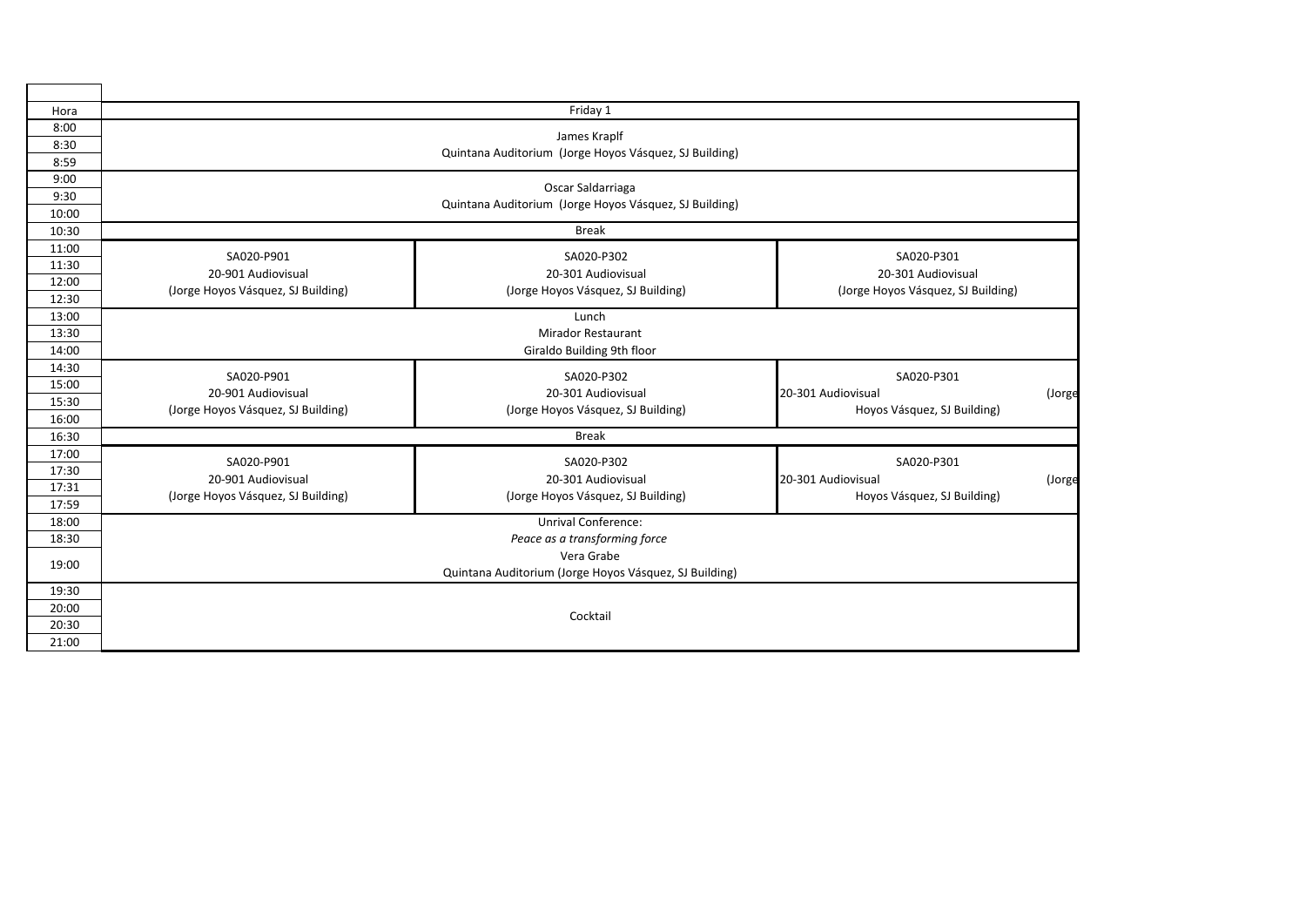| Hora  | Friday 1                                                                    |                                    |                                    |        |  |  |  |
|-------|-----------------------------------------------------------------------------|------------------------------------|------------------------------------|--------|--|--|--|
| 8:00  |                                                                             |                                    |                                    |        |  |  |  |
| 8:30  | James Kraplf                                                                |                                    |                                    |        |  |  |  |
| 8:59  | Quintana Auditorium (Jorge Hoyos Vásquez, SJ Building)                      |                                    |                                    |        |  |  |  |
| 9:00  | Oscar Saldarriaga<br>Quintana Auditorium (Jorge Hoyos Vásquez, SJ Building) |                                    |                                    |        |  |  |  |
| 9:30  |                                                                             |                                    |                                    |        |  |  |  |
| 10:00 |                                                                             |                                    |                                    |        |  |  |  |
| 10:30 | <b>Break</b>                                                                |                                    |                                    |        |  |  |  |
| 11:00 | SA020-P901                                                                  | SA020-P302                         | SA020-P301                         |        |  |  |  |
| 11:30 | 20-901 Audiovisual                                                          | 20-301 Audiovisual                 | 20-301 Audiovisual                 |        |  |  |  |
| 12:00 | (Jorge Hoyos Vásquez, SJ Building)                                          | (Jorge Hoyos Vásquez, SJ Building) | (Jorge Hoyos Vásquez, SJ Building) |        |  |  |  |
| 12:30 |                                                                             |                                    |                                    |        |  |  |  |
| 13:00 |                                                                             | Lunch                              |                                    |        |  |  |  |
| 13:30 |                                                                             | <b>Mirador Restaurant</b>          |                                    |        |  |  |  |
| 14:00 |                                                                             | Giraldo Building 9th floor         |                                    |        |  |  |  |
| 14:30 | SA020-P901                                                                  | SA020-P302                         | SA020-P301                         |        |  |  |  |
| 15:00 | 20-901 Audiovisual                                                          | 20-301 Audiovisual                 | 20-301 Audiovisual                 | (Jorge |  |  |  |
| 15:30 | (Jorge Hoyos Vásquez, SJ Building)                                          | (Jorge Hoyos Vásquez, SJ Building) | Hoyos Vásquez, SJ Building)        |        |  |  |  |
| 16:00 |                                                                             |                                    |                                    |        |  |  |  |
| 16:30 | <b>Break</b>                                                                |                                    |                                    |        |  |  |  |
| 17:00 | SA020-P901                                                                  | SA020-P302                         | SA020-P301                         |        |  |  |  |
| 17:30 | 20-901 Audiovisual                                                          | 20-301 Audiovisual                 | 20-301 Audiovisual                 | (Jorge |  |  |  |
| 17:31 | (Jorge Hoyos Vásquez, SJ Building)                                          | (Jorge Hoyos Vásquez, SJ Building) | Hoyos Vásquez, SJ Building)        |        |  |  |  |
| 17:59 |                                                                             |                                    |                                    |        |  |  |  |
| 18:00 |                                                                             | <b>Unrival Conference:</b>         |                                    |        |  |  |  |
| 18:30 |                                                                             | Peace as a transforming force      |                                    |        |  |  |  |
| 19:00 | Vera Grabe                                                                  |                                    |                                    |        |  |  |  |
|       | Quintana Auditorium (Jorge Hoyos Vásquez, SJ Building)                      |                                    |                                    |        |  |  |  |
| 19:30 |                                                                             |                                    |                                    |        |  |  |  |
| 20:00 |                                                                             | Cocktail                           |                                    |        |  |  |  |
| 20:30 |                                                                             |                                    |                                    |        |  |  |  |
| 21:00 |                                                                             |                                    |                                    |        |  |  |  |